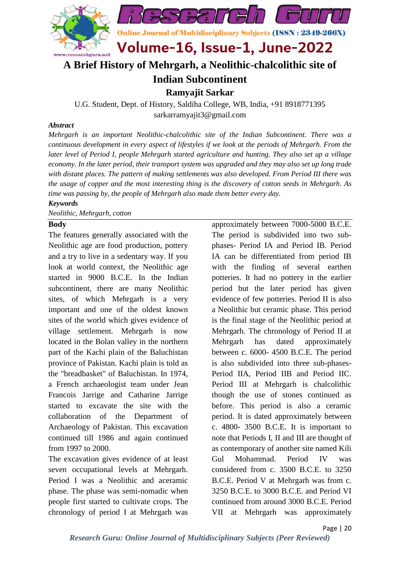

# **A Brief History of Mehrgarh, a Neolithic-chalcolithic site of**

## **Indian Subcontinent**

**Ramyajit Sarkar**

U.G. Student, Dept. of History, Saldiha College, WB, India, +91 8918771395 sarkarramyajit3@gmail.com

### *Abstract*

*Mehrgarh is an important Neolithic-chalcolithic site of the Indian Subcontinent. There was a continuous development in every aspect of lifestyles if we look at the periods of Mehrgarh. From the later level of Period I, people Mehrgarh started agriculture and hunting. They also set up a village economy. In the later period, their transport system was upgraded and they may also set up long trade with distant places. The pattern of making settlements was also developed. From Period III there was the usage of copper and the most interesting thing is the discovery of cotton seeds in Mehrgarh. As time was passing by, the people of Mehrgarh also made them better every day.*

#### *Keywords*

*Neolithic, Mehrgarh, cotton*

### **Body**

The features generally associated with the Neolithic age are food production, pottery and a try to live in a sedentary way. If you look at world context, the Neolithic age started in 9000 B.C.E. In the Indian subcontinent, there are many Neolithic sites, of which Mehrgarh is a very important and one of the oldest known sites of the world which gives evidence of village settlement. Mehrgarh is now located in the Bolan valley in the northern part of the Kachi plain of the Baluchistan province of Pakistan. Kachi plain is told as the "breadbasket" of Baluchistan. In 1974, a French archaeologist team under Jean Francois Jarrige and Catharine Jarrige started to excavate the site with the collaboration of the Department of Archaeology of Pakistan. This excavation continued till 1986 and again continued from 1997 to 2000.

The excavation gives evidence of at least seven occupational levels at Mehrgarh. Period I was a Neolithic and aceramic phase. The phase was semi-nomadic when people first started to cultivate crops. The chronology of period I at Mehrgarh was

approximately between 7000-5000 B.C.E. The period is subdivided into two subphases- Period IA and Period IB. Period IA can be differentiated from period IB with the finding of several earthen potteries. It had no pottery in the earlier period but the later period has given evidence of few potteries. Period II is also a Neolithic but ceramic phase. This period is the final stage of the Neolithic period at Mehrgarh. The chronology of Period II at Mehrgarh has dated approximately between c. 6000- 4500 B.C.E. The period is also subdivided into three sub-phases-Period IIA, Period IIB and Period IIC. Period III at Mehrgarh is chalcolithic though the use of stones continued as before. This period is also a ceramic period. It is dated approximately between c. 4800- 3500 B.C.E. It is important to note that Periods I, II and III are thought of as contemporary of another site named Kili Gul Mohammad. Period IV was considered from c. 3500 B.C.E. to 3250 B.C.E. Period V at Mehrgarh was from c. 3250 B.C.E. to 3000 B.C.E. and Period VI continued from around 3000 B.C.E. Period VII at Mehrgarh was approximately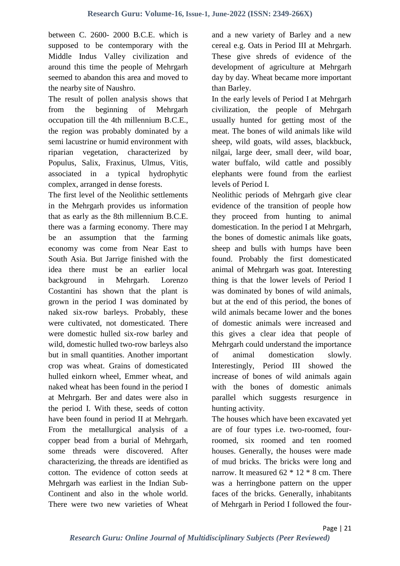between C. 2600- 2000 B.C.E. which is supposed to be contemporary with the Middle Indus Valley civilization and around this time the people of Mehrgarh seemed to abandon this area and moved to the nearby site of Naushro.

The result of pollen analysis shows that from the beginning of Mehrgarh occupation till the 4th millennium B.C.E., the region was probably dominated by a semi lacustrine or humid environment with riparian vegetation, characterized by Populus, Salix, Fraxinus, Ulmus, Vitis, associated in a typical hydrophytic complex, arranged in dense forests.

The first level of the Neolithic settlements in the Mehrgarh provides us information that as early as the 8th millennium B.C.E. there was a farming economy. There may be an assumption that the farming economy was come from Near East to South Asia. But Jarrige finished with the idea there must be an earlier local background in Mehrgarh. Lorenzo Costantini has shown that the plant is grown in the period I was dominated by naked six-row barleys. Probably, these were cultivated, not domesticated. There were domestic hulled six-row barley and wild, domestic hulled two-row barleys also but in small quantities. Another important crop was wheat. Grains of domesticated hulled einkorn wheel, Emmer wheat, and naked wheat has been found in the period I at Mehrgarh. Ber and dates were also in the period I. With these, seeds of cotton have been found in period II at Mehrgarh. From the metallurgical analysis of a copper bead from a burial of Mehrgarh, some threads were discovered. After characterizing, the threads are identified as cotton. The evidence of cotton seeds at Mehrgarh was earliest in the Indian Sub-Continent and also in the whole world. There were two new varieties of Wheat and a new variety of Barley and a new cereal e.g. Oats in Period III at Mehrgarh. These give shreds of evidence of the development of agriculture at Mehrgarh day by day. Wheat became more important than Barley.

In the early levels of Period I at Mehrgarh civilization, the people of Mehrgarh usually hunted for getting most of the meat. The bones of wild animals like wild sheep, wild goats, wild asses, blackbuck, nilgai, large deer, small deer, wild boar, water buffalo, wild cattle and possibly elephants were found from the earliest levels of Period I.

Neolithic periods of Mehrgarh give clear evidence of the transition of people how they proceed from hunting to animal domestication. In the period I at Mehrgarh, the bones of domestic animals like goats, sheep and bulls with humps have been found. Probably the first domesticated animal of Mehrgarh was goat. Interesting thing is that the lower levels of Period I was dominated by bones of wild animals, but at the end of this period, the bones of wild animals became lower and the bones of domestic animals were increased and this gives a clear idea that people of Mehrgarh could understand the importance of animal domestication slowly. Interestingly, Period III showed the increase of bones of wild animals again with the bones of domestic animals parallel which suggests resurgence in hunting activity.

The houses which have been excavated yet are of four types i.e. two-roomed, fourroomed, six roomed and ten roomed houses. Generally, the houses were made of mud bricks. The bricks were long and narrow. It measured  $62 * 12 * 8$  cm. There was a herringbone pattern on the upper faces of the bricks. Generally, inhabitants of Mehrgarh in Period I followed the four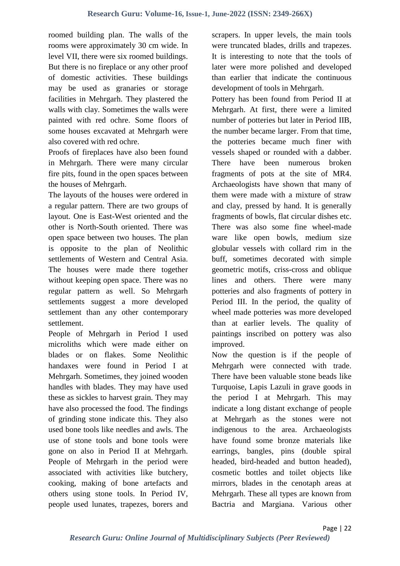roomed building plan. The walls of the rooms were approximately 30 cm wide. In level VII, there were six roomed buildings. But there is no fireplace or any other proof of domestic activities. These buildings may be used as granaries or storage facilities in Mehrgarh. They plastered the walls with clay. Sometimes the walls were painted with red ochre. Some floors of some houses excavated at Mehrgarh were also covered with red ochre.

Proofs of fireplaces have also been found in Mehrgarh. There were many circular fire pits, found in the open spaces between the houses of Mehrgarh.

The layouts of the houses were ordered in a regular pattern. There are two groups of layout. One is East-West oriented and the other is North-South oriented. There was open space between two houses. The plan is opposite to the plan of Neolithic settlements of Western and Central Asia. The houses were made there together without keeping open space. There was no regular pattern as well. So Mehrgarh settlements suggest a more developed settlement than any other contemporary settlement.

People of Mehrgarh in Period I used microliths which were made either on blades or on flakes. Some Neolithic handaxes were found in Period I at Mehrgarh. Sometimes, they joined wooden handles with blades. They may have used these as sickles to harvest grain. They may have also processed the food. The findings of grinding stone indicate this. They also used bone tools like needles and awls. The use of stone tools and bone tools were gone on also in Period II at Mehrgarh. People of Mehrgarh in the period were associated with activities like butchery, cooking, making of bone artefacts and others using stone tools. In Period IV, people used lunates, trapezes, borers and scrapers. In upper levels, the main tools were truncated blades, drills and trapezes. It is interesting to note that the tools of later were more polished and developed than earlier that indicate the continuous development of tools in Mehrgarh.

Pottery has been found from Period II at Mehrgarh. At first, there were a limited number of potteries but later in Period IIB, the number became larger. From that time, the potteries became much finer with vessels shaped or rounded with a dabber. There have been numerous broken fragments of pots at the site of MR4. Archaeologists have shown that many of them were made with a mixture of straw and clay, pressed by hand. It is generally fragments of bowls, flat circular dishes etc. There was also some fine wheel-made ware like open bowls, medium size globular vessels with collard rim in the buff, sometimes decorated with simple geometric motifs, criss-cross and oblique lines and others. There were many potteries and also fragments of pottery in Period III. In the period, the quality of wheel made potteries was more developed than at earlier levels. The quality of paintings inscribed on pottery was also improved.

Now the question is if the people of Mehrgarh were connected with trade. There have been valuable stone beads like Turquoise, Lapis Lazuli in grave goods in the period I at Mehrgarh. This may indicate a long distant exchange of people at Mehrgarh as the stones were not indigenous to the area. Archaeologists have found some bronze materials like earrings, bangles, pins (double spiral headed, bird-headed and button headed), cosmetic bottles and toilet objects like mirrors, blades in the cenotaph areas at Mehrgarh. These all types are known from Bactria and Margiana. Various other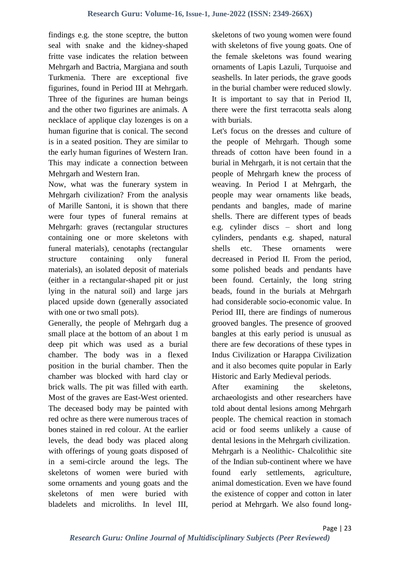findings e.g. the stone sceptre, the button seal with snake and the kidney-shaped fritte vase indicates the relation between Mehrgarh and Bactria, Margiana and south Turkmenia. There are exceptional five figurines, found in Period III at Mehrgarh. Three of the figurines are human beings and the other two figurines are animals. A necklace of applique clay lozenges is on a human figurine that is conical. The second is in a seated position. They are similar to the early human figurines of Western Iran. This may indicate a connection between Mehrgarh and Western Iran.

Now, what was the funerary system in Mehrgarh civilization? From the analysis of Marille Santoni, it is shown that there were four types of funeral remains at Mehrgarh: graves (rectangular structures containing one or more skeletons with funeral materials), cenotaphs (rectangular structure containing only funeral materials), an isolated deposit of materials (either in a rectangular-shaped pit or just lying in the natural soil) and large jars placed upside down (generally associated with one or two small pots).

Generally, the people of Mehrgarh dug a small place at the bottom of an about 1 m deep pit which was used as a burial chamber. The body was in a flexed position in the burial chamber. Then the chamber was blocked with hard clay or brick walls. The pit was filled with earth. Most of the graves are East-West oriented. The deceased body may be painted with red ochre as there were numerous traces of bones stained in red colour. At the earlier levels, the dead body was placed along with offerings of young goats disposed of in a semi-circle around the legs. The skeletons of women were buried with some ornaments and young goats and the skeletons of men were buried with bladelets and microliths. In level III, skeletons of two young women were found with skeletons of five young goats. One of the female skeletons was found wearing ornaments of Lapis Lazuli, Turquoise and seashells. In later periods, the grave goods in the burial chamber were reduced slowly. It is important to say that in Period II, there were the first terracotta seals along with burials.

Let's focus on the dresses and culture of the people of Mehrgarh. Though some threads of cotton have been found in a burial in Mehrgarh, it is not certain that the people of Mehrgarh knew the process of weaving. In Period I at Mehrgarh, the people may wear ornaments like beads, pendants and bangles, made of marine shells. There are different types of beads e.g. cylinder discs – short and long cylinders, pendants e.g. shaped, natural shells etc. These ornaments were decreased in Period II. From the period, some polished beads and pendants have been found. Certainly, the long string beads, found in the burials at Mehrgarh had considerable socio-economic value. In Period III, there are findings of numerous grooved bangles. The presence of grooved bangles at this early period is unusual as there are few decorations of these types in Indus Civilization or Harappa Civilization and it also becomes quite popular in Early Historic and Early Medieval periods.

After examining the skeletons, archaeologists and other researchers have told about dental lesions among Mehrgarh people. The chemical reaction in stomach acid or food seems unlikely a cause of dental lesions in the Mehrgarh civilization. Mehrgarh is a Neolithic- Chalcolithic site of the Indian sub-continent where we have found early settlements, agriculture, animal domestication. Even we have found the existence of copper and cotton in later period at Mehrgarh. We also found long